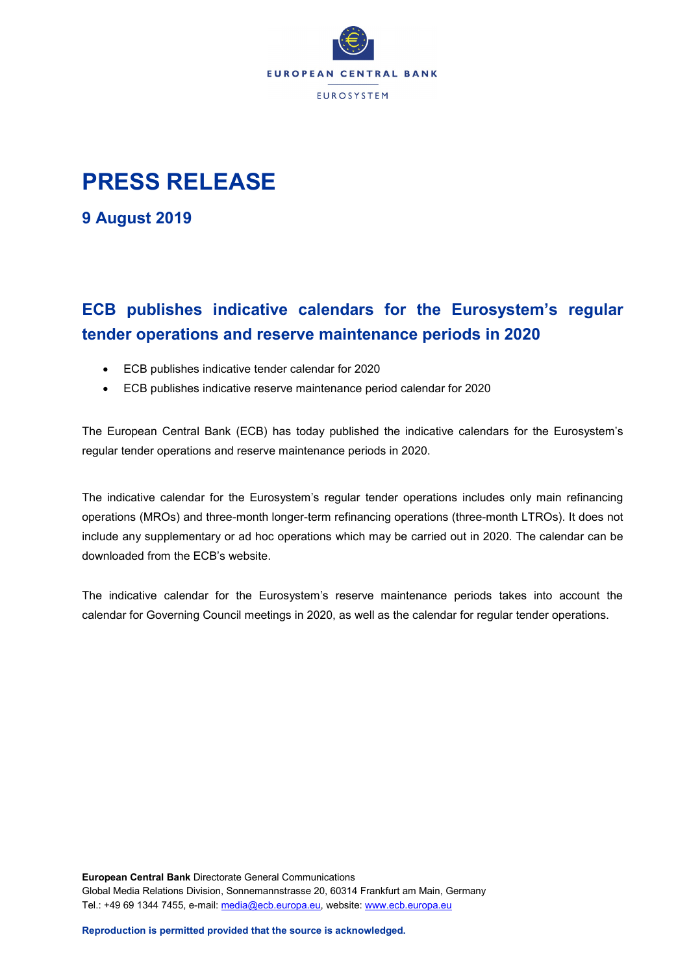

## **PRESS RELEASE**

**9 August 2019**

## **ECB publishes indicative calendars for the Eurosystem's regular tender operations and reserve maintenance periods in 2020**

- ECB publishes indicative tender calendar for 2020
- ECB publishes indicative reserve maintenance period calendar for 2020

The European Central Bank (ECB) has today published the indicative calendars for the Eurosystem's regular tender operations and reserve maintenance periods in 2020.

The indicative calendar for the Eurosystem's regular tender operations includes only main refinancing operations (MROs) and three-month longer-term refinancing operations (three-month LTROs). It does not include any supplementary or ad hoc operations which may be carried out in 2020. The calendar can be downloaded from the ECB's website.

The indicative calendar for the Eurosystem's reserve maintenance periods takes into account the calendar for Governing Council meetings in 2020, as well as the calendar for regular tender operations.